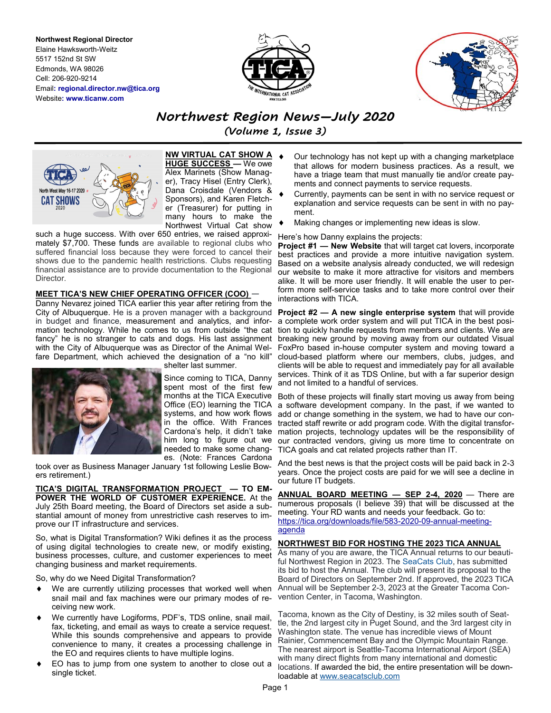**Northwest Regional Director** Elaine Hawksworth-Weitz 5517 152nd St SW Edmonds, WA 98026 Cell: 206-920-9214 Email**: regional.director.nw@tica.org** Website**: www.ticanw.com**





*Northwest Region News—July 2020* 

*(Volume 1, Issue 3)*



**NW VIRTUAL CAT SHOW A HUGE SUCCESS —** We owe Alex Marinets (Show Manager), Tracy Hisel (Entry Clerk), Dana Croisdale (Vendors & Sponsors), and Karen Fletcher (Treasurer) for putting in many hours to make the Northwest Virtual Cat show

such a huge success. With over 650 entries, we raised approximately \$7,700. These funds are available to regional clubs who suffered financial loss because they were forced to cancel their shows due to the pandemic health restrictions. Clubs requesting financial assistance are to provide documentation to the Regional **Director** 

## **MEET TICA'S NEW CHIEF OPERATING OFFICER (COO)** —

Danny Nevarez joined TICA earlier this year after retiring from the in budget and finance, measurement and analytics, and information technology. While he comes to us from outside "the cat fancy" he is no stranger to cats and dogs. His last assignment with the City of Albuquerque was as Director of the Animal Welfare Department, which achieved the designation of a "no kill"



shelter last summer.

Since coming to TICA, Danny spent most of the first few Office (EO) learning the TICA systems, and how work flows in the office. With Frances Cardona's help, it didn't take needed to make some changes. (Note: Frances Cardona

took over as Business Manager January 1st following Leslie Bowers retirement.)

**TICA'S DIGITAL TRANSFORMATION PROJECT — TO EM-POWER THE WORLD OF CUSTOMER EXPERIENCE.** At the July 25th Board meeting, the Board of Directors set aside a substantial amount of money from unrestrictive cash reserves to improve our IT infrastructure and services.

So, what is Digital Transformation? Wiki defines it as the process of using digital technologies to create new, or modify existing, business processes, culture, and customer experiences to meet changing business and market requirements.

So, why do we Need Digital Transformation?

- We are currently utilizing processes that worked well when snail mail and fax machines were our primary modes of receiving new work.
- We currently have Logiforms, PDF's, TDS online, snail mail, fax, ticketing, and email as ways to create a service request. While this sounds comprehensive and appears to provide convenience to many, it creates a processing challenge in the EO and requires clients to have multiple logins.
- EO has to jump from one system to another to close out a single ticket.
- Our technology has not kept up with a changing marketplace that allows for modern business practices. As a result, we have a triage team that must manually tie and/or create payments and connect payments to service requests.
- Currently, payments can be sent in with no service request or explanation and service requests can be sent in with no payment.
- Making changes or implementing new ideas is slow.

### Here's how Danny explains the projects:

**Project #1 — New Website** that will target cat lovers, incorporate best practices and provide a more intuitive navigation system. Based on a website analysis already conducted, we will redesign our website to make it more attractive for visitors and members alike. It will be more user friendly. It will enable the user to perform more self-service tasks and to take more control over their interactions with TICA.

City of Albuquerque. He is a proven manager with a background **Project #2 — A new single enterprise system** that will provide a complete work order system and will put TICA in the best position to quickly handle requests from members and clients. We are breaking new ground by moving away from our outdated Visual FoxPro based in-house computer system and moving toward a cloud-based platform where our members, clubs, judges, and clients will be able to request and immediately pay for all available services. Think of it as TDS Online, but with a far superior design and not limited to a handful of services.

> months at the TICA Executive Both of these projects will finally start moving us away from being him long to figure out we our contracted vendors, giving us more time to concentrate on a software development company. In the past, if we wanted to add or change something in the system, we had to have our contracted staff rewrite or add program code. With the digital transformation projects, technology updates will be the responsibility of TICA goals and cat related projects rather than IT.

> > And the best news is that the project costs will be paid back in 2-3 years. Once the project costs are paid for we will see a decline in our future IT budgets.

> > **ANNUAL BOARD MEETING — SEP 2-4, 2020** — There are numerous proposals (I believe 39) that will be discussed at the meeting. Your RD wants and needs your feedback. Go to: [https://tica.org/downloads/file/583](https://tica.org/downloads/file/583-2020-09-annual-meeting-agenda)-2020-09-annual-meeting[agenda](https://tica.org/downloads/file/583-2020-09-annual-meeting-agenda)

### **NORTHWEST BID FOR HOSTING THE 2023 TICA ANNUAL**

As many of you are aware, the TICA Annual returns to our beautiful Northwest Region in 2023. The [SeaCats Club,](https://www.facebook.com/seacatsclub/?__tn__=K-R&eid=ARAggkyw6voBvPnPPQRo-HGa8_f6Q4aB4g8We3bfm9KhfCiIXrX7CceTV9MZJMxK7IMj3IRmIIci-TiB&fref=mentions&__xts__%5B0%5D=68.ARBC3-_9TYi9J8K-5TT-hX2IwJGhzkcgDWfwXNrB-CqM3pB40OeKyh0W1FaojCJXgZ_tTEo3jq-KUR5wWzvAts1-AY2d8) has submitted its bid to host the Annual. The club will present its proposal to the Board of Directors on September 2nd. If approved, the 2023 TICA Annual will be September 2-3, 2023 at the Greater Tacoma Convention Center, in Tacoma, Washington.

Tacoma, known as the City of Destiny, is 32 miles south of Seattle, the 2nd largest city in Puget Sound, and the 3rd largest city in Washington state. The venue has incredible views of Mount Rainier, Commencement Bay and the Olympic Mountain Range. The nearest airport is Seattle-Tacoma International Airport (SEA) with many direct flights from many international and domestic locations. If awarded the bid, the entire presentation will be downloadable at [www.seacatsclub.com](http://www.seacatsclub.com)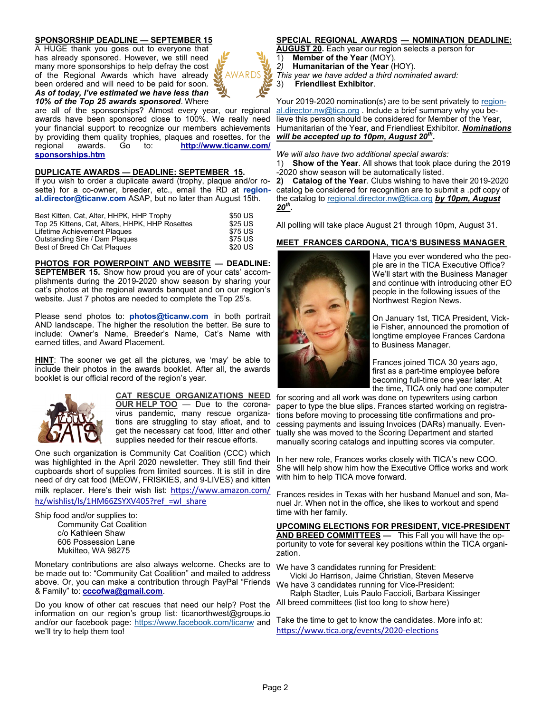# **SPONSORSHIP DEADLINE — SEPTEMBER 15**

A HUGE thank you goes out to everyone that has already sponsored. However, we still need many more sponsorships to help defray the cost of the Regional Awards which have already been ordered and will need to be paid for soon. *As of today, I've estimated we have less than 10% of the Top 25 awards sponsored*. Where

are all of the sponsorships? Almost every year, our regional awards have been sponsored close to 100%. We really need your financial support to recognize our members achievements by providing them quality trophies, plaques and rosettes. for the regional awards. Go to: http://www.ticanw.com/ regional awards. Go to: **[http://www.ticanw.com/](http://www.ticanw.com/Sponsorships.htm) [sponsorships.htm](http://www.ticanw.com/Sponsorships.htm)**

## **DUPLICATE AWARDS — DEADLINE: SEPTEMBER 15.**

If you wish to order a duplicate award (trophy, plaque and/or rosette) for a co-owner, breeder, etc., email the RD at **regional.director@ticanw.com** ASAP, but no later than August 15th.

| Best Kitten, Cat, Alter, HHPK, HHP Trophy       | \$50 US |
|-------------------------------------------------|---------|
| Top 25 Kittens, Cat, Alters, HHPK, HHP Rosettes | \$25 US |
| Lifetime Achievement Plaques                    | \$75 US |
| Outstanding Sire / Dam Plaques                  | \$75 US |
| Best of Breed Ch Cat Plagues                    | \$20 US |

### **PHOTOS FOR POWERPOINT AND WEBSITE — DEADLINE:**

**SEPTEMBER 15.** Show how proud you are of your cats' accomplishments during the 2019-2020 show season by sharing your cat's photos at the regional awards banquet and on our region's website. Just 7 photos are needed to complete the Top 25's.

Please send photos to: **photos@ticanw.com** in both portrait AND landscape. The higher the resolution the better. Be sure to include: Owner's Name, Breeder's Name, Cat's Name with earned titles, and Award Placement.

**HINT**: The sooner we get all the pictures, we 'may' be able to include their photos in the awards booklet. After all, the awards booklet is our official record of the region's year.



#### **CAT RESCUE ORGANIZATIONS NEED OUR HELP TOO** — Due to the coronavirus pandemic, many rescue organizations are struggling to stay afloat, and to get the necessary cat food, litter and other supplies needed for their rescue efforts.

One such organization is Community Cat Coalition (CCC) which was highlighted in the April 2020 newsletter. They still find their cupboards short of supplies from limited sources. It is still in dire need of dry cat food (MEOW, FRISKIES, and 9-LIVES) and kitten milk replacer. Here's their wish list: [https://www.amazon.com/](https://www.amazon.com/hz/wishlist/ls/1HM66ZSYXV405?ref_=wl_share)

hz/wishlist/ls/1HM66ZSYXV405?ref =wl\_share

Ship food and/or supplies to: Community Cat Coalition c/o Kathleen Shaw 606 Possession Lane Mukilteo, WA 98275

Monetary contributions are also always welcome. Checks are to be made out to: "Community Cat Coalition" and mailed to address above. Or, you can make a contribution through PayPal "Friends We have 3 candidates running for Vice-President: & Family" to: **[cccofwa@gmail.com](mailto:cccofwa@gmail.com)**.

Do you know of other cat rescues that need our help? Post the information on our region's group list: ticanorthwest@groups.io and/or our facebook page: <https://www.facebook.com/ticanw> and we'll try to help them too!

# **SPECIAL REGIONAL AWARDS — NOMINATION DEADLINE:**

**AUGUST 20.** Each year our region selects a person for 1) **Member of the Year** (MOY).

- *2)* **Humanitarian of the Year** (HOY).
- *This year we have added a third nominated award:*
- 3) **Friendliest Exhibitor**.

AWARDS

Your 2019-2020 nomination(s) are to be sent privately to [region](mailto:regional.director.nw@tica.org)[al.director.nw@tica.org](mailto:regional.director.nw@tica.org) . Include a brief summary why you believe this person should be considered for Member of the Year, Humanitarian of the Year, and Friendliest Exhibitor. *Nominations will be accepted up to 10pm, August 20th* **.** 

*We will also have two additional special awards:*

1) **Show of the Year**. All shows that took place during the 2019 -2020 show season will be automatically listed.

**2) Catalog of the Year**. Clubs wishing to have their 2019-2020 catalog be considered for recognition are to submit a .pdf copy of the catalog to [regional.director.nw@tica.org](mailto:regional.director.nw@tica.org) *by 10pm, August 20th* **.**

All polling will take place August 21 through 10pm, August 31.

# **MEET FRANCES CARDONA, TICA'S BUSINESS MANAGER**



Have you ever wondered who the people are in the TICA Executive Office? We'll start with the Business Manager and continue with introducing other EO people in the following issues of the Northwest Region News.

On January 1st, TICA President, Vickie Fisher, announced the promotion of longtime employee Frances Cardona to Business Manager.

Frances joined TICA 30 years ago, first as a part-time employee before becoming full-time one year later. At the time, TICA only had one computer

for scoring and all work was done on typewriters using carbon paper to type the blue slips. Frances started working on registrations before moving to processing title confirmations and processing payments and issuing Invoices (DARs) manually. Eventually she was moved to the Scoring Department and started manually scoring catalogs and inputting scores via computer.

In her new role, Frances works closely with TICA's new COO. She will help show him how the Executive Office works and work with him to help TICA move forward.

Frances resides in Texas with her husband Manuel and son, Manuel Jr. When not in the office, she likes to workout and spend time with her family.

**UPCOMING ELECTIONS FOR PRESIDENT, VICE-PRESIDENT AND BREED COMMITTEES —** This Fall you will have the opportunity to vote for several key positions within the TICA organization.

We have 3 candidates running for President: Vicki Jo Harrison, Jaime Christian, Steven Meserve

Ralph Stadter, Luis Paulo Faccioli, Barbara Kissinger

All breed committees (list too long to show here)

Take the time to get to know the candidates. More info at: [https://www.tica.org/events/2020](https://www.tica.org/events/2020-elections)-elections